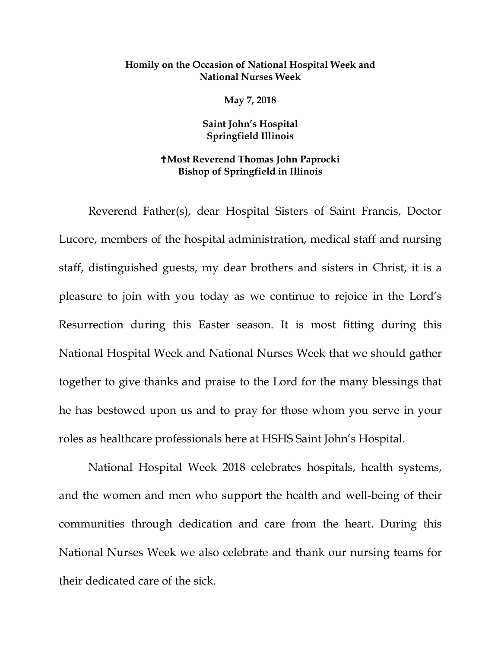## **Homily on the Occasion of National Hospital Week and National Nurses Week**

**May 7, 2018**

**Saint John's Hospital Springfield Illinois**

## **Most Reverend Thomas John Paprocki Bishop of Springfield in Illinois**

Reverend Father(s), dear Hospital Sisters of Saint Francis, Doctor Lucore, members of the hospital administration, medical staff and nursing staff, distinguished guests, my dear brothers and sisters in Christ, it is a pleasure to join with you today as we continue to rejoice in the Lord's Resurrection during this Easter season. It is most fitting during this National Hospital Week and National Nurses Week that we should gather together to give thanks and praise to the Lord for the many blessings that he has bestowed upon us and to pray for those whom you serve in your roles as healthcare professionals here at HSHS Saint John's Hospital.

National Hospital Week 2018 celebrates hospitals, health systems, and the women and men who support the health and well-being of their communities through dedication and care from the heart. During this National Nurses Week we also celebrate and thank our nursing teams for their dedicated care of the sick.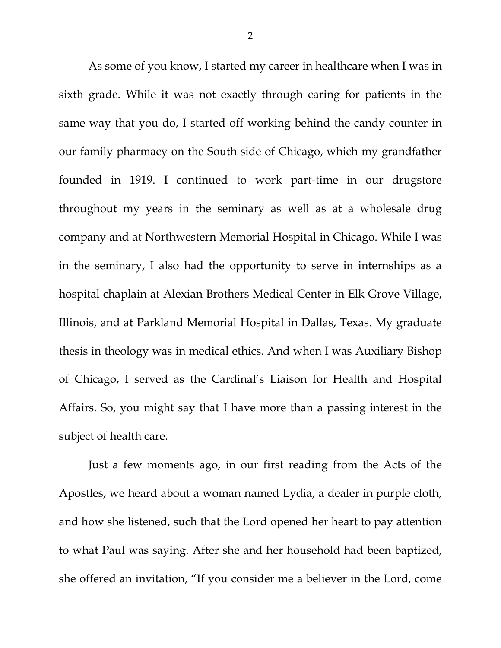As some of you know, I started my career in healthcare when I was in sixth grade. While it was not exactly through caring for patients in the same way that you do, I started off working behind the candy counter in our family pharmacy on the South side of Chicago, which my grandfather founded in 1919. I continued to work part-time in our drugstore throughout my years in the seminary as well as at a wholesale drug company and at Northwestern Memorial Hospital in Chicago. While I was in the seminary, I also had the opportunity to serve in internships as a hospital chaplain at Alexian Brothers Medical Center in Elk Grove Village, Illinois, and at Parkland Memorial Hospital in Dallas, Texas. My graduate thesis in theology was in medical ethics. And when I was Auxiliary Bishop of Chicago, I served as the Cardinal's Liaison for Health and Hospital Affairs. So, you might say that I have more than a passing interest in the subject of health care.

Just a few moments ago, in our first reading from the Acts of the Apostles, we heard about a woman named Lydia, a dealer in purple cloth, and how she listened, such that the Lord opened her heart to pay attention to what Paul was saying. After she and her household had been baptized, she offered an invitation, "If you consider me a believer in the Lord, come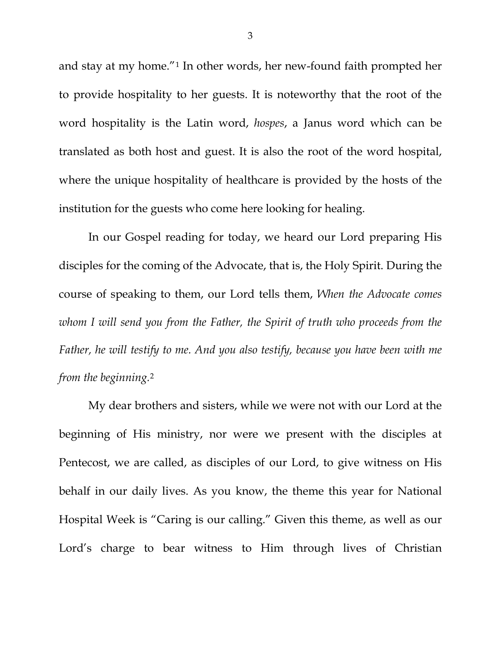and stay at my home."[1](#page-4-0) In other words, her new-found faith prompted her to provide hospitality to her guests. It is noteworthy that the root of the word hospitality is the Latin word, *hospes*, a Janus word which can be translated as both host and guest. It is also the root of the word hospital, where the unique hospitality of healthcare is provided by the hosts of the institution for the guests who come here looking for healing.

In our Gospel reading for today, we heard our Lord preparing His disciples for the coming of the Advocate, that is, the Holy Spirit. During the course of speaking to them, our Lord tells them, *When the Advocate comes whom I will send you from the Father, the Spirit of truth who proceeds from the Father, he will testify to me. And you also testify, because you have been with me from the beginning.*[2](#page-4-1)

My dear brothers and sisters, while we were not with our Lord at the beginning of His ministry, nor were we present with the disciples at Pentecost, we are called, as disciples of our Lord, to give witness on His behalf in our daily lives. As you know, the theme this year for National Hospital Week is "Caring is our calling." Given this theme, as well as our Lord's charge to bear witness to Him through lives of Christian

3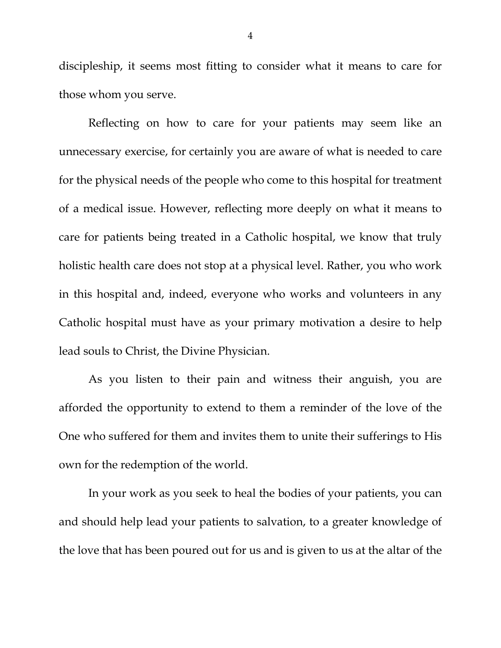discipleship, it seems most fitting to consider what it means to care for those whom you serve.

Reflecting on how to care for your patients may seem like an unnecessary exercise, for certainly you are aware of what is needed to care for the physical needs of the people who come to this hospital for treatment of a medical issue. However, reflecting more deeply on what it means to care for patients being treated in a Catholic hospital, we know that truly holistic health care does not stop at a physical level. Rather, you who work in this hospital and, indeed, everyone who works and volunteers in any Catholic hospital must have as your primary motivation a desire to help lead souls to Christ, the Divine Physician.

As you listen to their pain and witness their anguish, you are afforded the opportunity to extend to them a reminder of the love of the One who suffered for them and invites them to unite their sufferings to His own for the redemption of the world.

In your work as you seek to heal the bodies of your patients, you can and should help lead your patients to salvation, to a greater knowledge of the love that has been poured out for us and is given to us at the altar of the